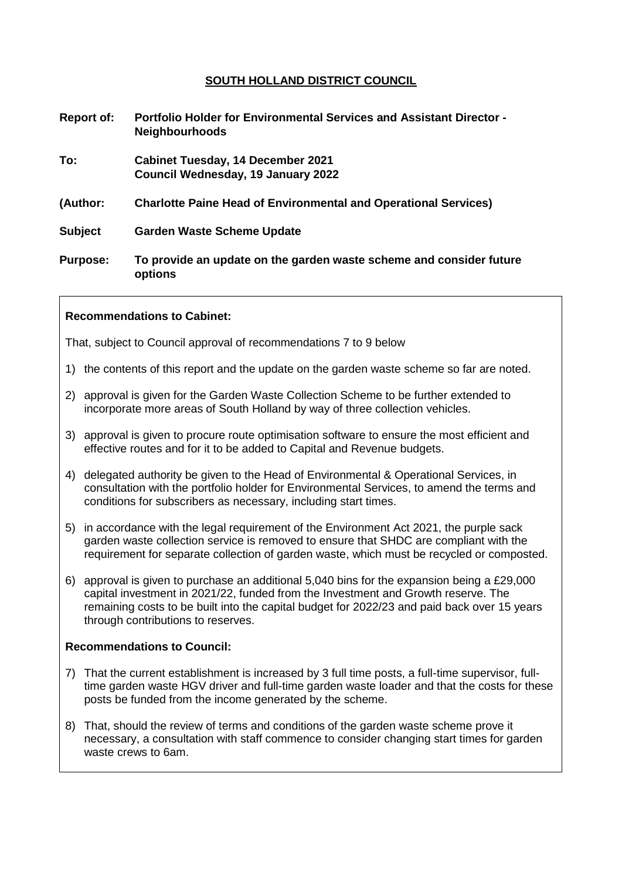# **SOUTH HOLLAND DISTRICT COUNCIL**

| Report of:      | <b>Portfolio Holder for Environmental Services and Assistant Director -</b><br><b>Neighbourhoods</b> |
|-----------------|------------------------------------------------------------------------------------------------------|
| To:             | <b>Cabinet Tuesday, 14 December 2021</b><br>Council Wednesday, 19 January 2022                       |
| (Author:        | <b>Charlotte Paine Head of Environmental and Operational Services)</b>                               |
| <b>Subject</b>  | <b>Garden Waste Scheme Update</b>                                                                    |
| <b>Purpose:</b> | To provide an update on the garden waste scheme and consider future<br>options                       |

### **Recommendations to Cabinet:**

That, subject to Council approval of recommendations 7 to 9 below

- 1) the contents of this report and the update on the garden waste scheme so far are noted.
- 2) approval is given for the Garden Waste Collection Scheme to be further extended to incorporate more areas of South Holland by way of three collection vehicles.
- 3) approval is given to procure route optimisation software to ensure the most efficient and effective routes and for it to be added to Capital and Revenue budgets.
- 4) delegated authority be given to the Head of Environmental & Operational Services, in consultation with the portfolio holder for Environmental Services, to amend the terms and conditions for subscribers as necessary, including start times.
- 5) in accordance with the legal requirement of the Environment Act 2021, the purple sack garden waste collection service is removed to ensure that SHDC are compliant with the requirement for separate collection of garden waste, which must be recycled or composted.
- 6) approval is given to purchase an additional 5,040 bins for the expansion being a £29,000 capital investment in 2021/22, funded from the Investment and Growth reserve. The remaining costs to be built into the capital budget for 2022/23 and paid back over 15 years through contributions to reserves.

#### **Recommendations to Council:**

- 7) That the current establishment is increased by 3 full time posts, a full-time supervisor, fulltime garden waste HGV driver and full-time garden waste loader and that the costs for these posts be funded from the income generated by the scheme.
- 8) That, should the review of terms and conditions of the garden waste scheme prove it necessary, a consultation with staff commence to consider changing start times for garden waste crews to 6am.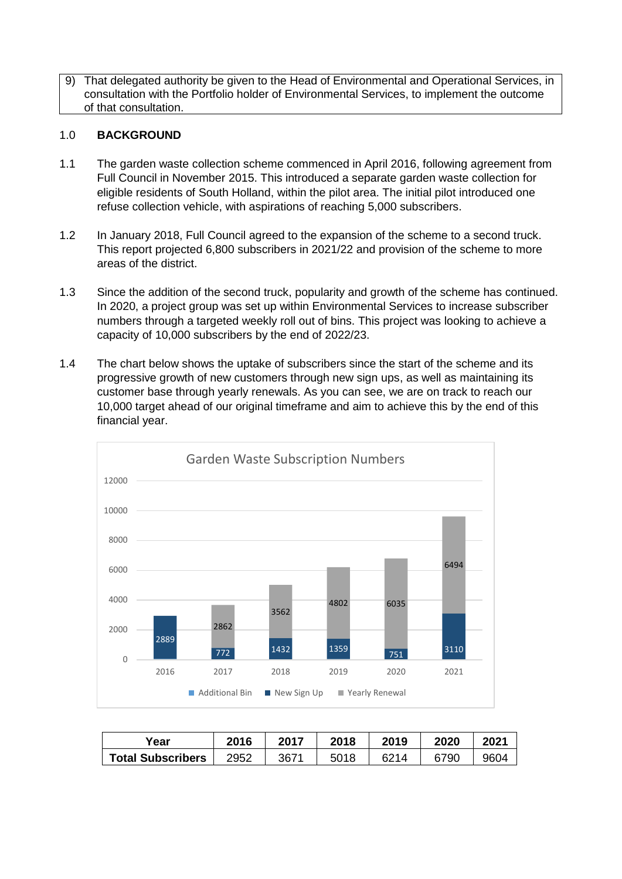9) That delegated authority be given to the Head of Environmental and Operational Services, in consultation with the Portfolio holder of Environmental Services, to implement the outcome of that consultation.

### 1.0 **BACKGROUND**

- 1.1 The garden waste collection scheme commenced in April 2016, following agreement from Full Council in November 2015. This introduced a separate garden waste collection for eligible residents of South Holland, within the pilot area. The initial pilot introduced one refuse collection vehicle, with aspirations of reaching 5,000 subscribers.
- 1.2 In January 2018, Full Council agreed to the expansion of the scheme to a second truck. This report projected 6,800 subscribers in 2021/22 and provision of the scheme to more areas of the district.
- 1.3 Since the addition of the second truck, popularity and growth of the scheme has continued. In 2020, a project group was set up within Environmental Services to increase subscriber numbers through a targeted weekly roll out of bins. This project was looking to achieve a capacity of 10,000 subscribers by the end of 2022/23.
- 1.4 The chart below shows the uptake of subscribers since the start of the scheme and its progressive growth of new customers through new sign ups, as well as maintaining its customer base through yearly renewals. As you can see, we are on track to reach our 10,000 target ahead of our original timeframe and aim to achieve this by the end of this financial year.



| <sup>∨</sup> ear         | 2016 | 2017 | 2018 | 2019 | 2020 | 2021 |
|--------------------------|------|------|------|------|------|------|
| <b>Total Subscribers</b> | 2952 | 3671 | 5018 | 6214 | 6790 | 9604 |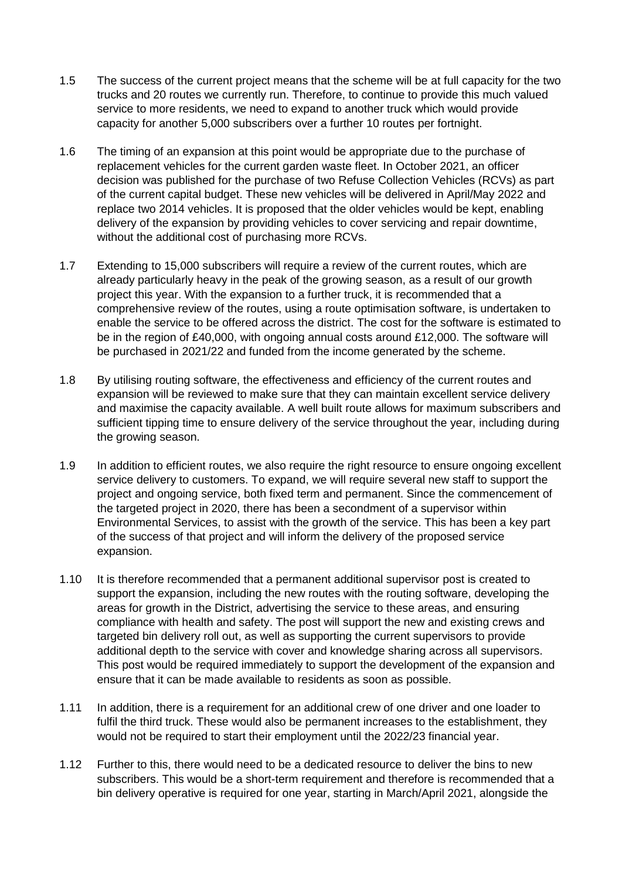- 1.5 The success of the current project means that the scheme will be at full capacity for the two trucks and 20 routes we currently run. Therefore, to continue to provide this much valued service to more residents, we need to expand to another truck which would provide capacity for another 5,000 subscribers over a further 10 routes per fortnight.
- 1.6 The timing of an expansion at this point would be appropriate due to the purchase of replacement vehicles for the current garden waste fleet. In October 2021, an officer decision was published for the purchase of two Refuse Collection Vehicles (RCVs) as part of the current capital budget. These new vehicles will be delivered in April/May 2022 and replace two 2014 vehicles. It is proposed that the older vehicles would be kept, enabling delivery of the expansion by providing vehicles to cover servicing and repair downtime, without the additional cost of purchasing more RCVs.
- 1.7 Extending to 15,000 subscribers will require a review of the current routes, which are already particularly heavy in the peak of the growing season, as a result of our growth project this year. With the expansion to a further truck, it is recommended that a comprehensive review of the routes, using a route optimisation software, is undertaken to enable the service to be offered across the district. The cost for the software is estimated to be in the region of £40,000, with ongoing annual costs around £12,000. The software will be purchased in 2021/22 and funded from the income generated by the scheme.
- 1.8 By utilising routing software, the effectiveness and efficiency of the current routes and expansion will be reviewed to make sure that they can maintain excellent service delivery and maximise the capacity available. A well built route allows for maximum subscribers and sufficient tipping time to ensure delivery of the service throughout the year, including during the growing season.
- 1.9 In addition to efficient routes, we also require the right resource to ensure ongoing excellent service delivery to customers. To expand, we will require several new staff to support the project and ongoing service, both fixed term and permanent. Since the commencement of the targeted project in 2020, there has been a secondment of a supervisor within Environmental Services, to assist with the growth of the service. This has been a key part of the success of that project and will inform the delivery of the proposed service expansion.
- 1.10 It is therefore recommended that a permanent additional supervisor post is created to support the expansion, including the new routes with the routing software, developing the areas for growth in the District, advertising the service to these areas, and ensuring compliance with health and safety. The post will support the new and existing crews and targeted bin delivery roll out, as well as supporting the current supervisors to provide additional depth to the service with cover and knowledge sharing across all supervisors. This post would be required immediately to support the development of the expansion and ensure that it can be made available to residents as soon as possible.
- 1.11 In addition, there is a requirement for an additional crew of one driver and one loader to fulfil the third truck. These would also be permanent increases to the establishment, they would not be required to start their employment until the 2022/23 financial year.
- 1.12 Further to this, there would need to be a dedicated resource to deliver the bins to new subscribers. This would be a short-term requirement and therefore is recommended that a bin delivery operative is required for one year, starting in March/April 2021, alongside the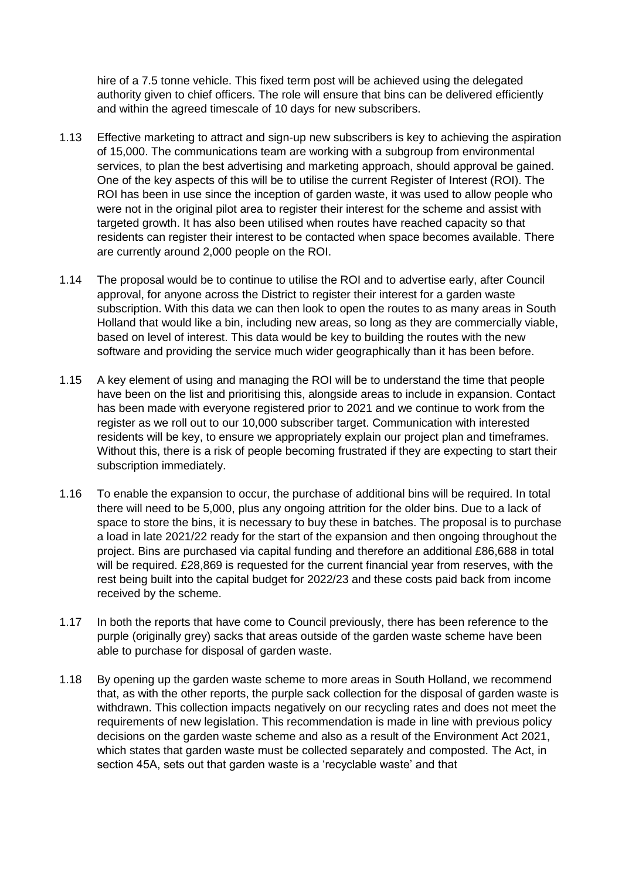hire of a 7.5 tonne vehicle. This fixed term post will be achieved using the delegated authority given to chief officers. The role will ensure that bins can be delivered efficiently and within the agreed timescale of 10 days for new subscribers.

- 1.13 Effective marketing to attract and sign-up new subscribers is key to achieving the aspiration of 15,000. The communications team are working with a subgroup from environmental services, to plan the best advertising and marketing approach, should approval be gained. One of the key aspects of this will be to utilise the current Register of Interest (ROI). The ROI has been in use since the inception of garden waste, it was used to allow people who were not in the original pilot area to register their interest for the scheme and assist with targeted growth. It has also been utilised when routes have reached capacity so that residents can register their interest to be contacted when space becomes available. There are currently around 2,000 people on the ROI.
- 1.14 The proposal would be to continue to utilise the ROI and to advertise early, after Council approval, for anyone across the District to register their interest for a garden waste subscription. With this data we can then look to open the routes to as many areas in South Holland that would like a bin, including new areas, so long as they are commercially viable, based on level of interest. This data would be key to building the routes with the new software and providing the service much wider geographically than it has been before.
- 1.15 A key element of using and managing the ROI will be to understand the time that people have been on the list and prioritising this, alongside areas to include in expansion. Contact has been made with everyone registered prior to 2021 and we continue to work from the register as we roll out to our 10,000 subscriber target. Communication with interested residents will be key, to ensure we appropriately explain our project plan and timeframes. Without this, there is a risk of people becoming frustrated if they are expecting to start their subscription immediately.
- 1.16 To enable the expansion to occur, the purchase of additional bins will be required. In total there will need to be 5,000, plus any ongoing attrition for the older bins. Due to a lack of space to store the bins, it is necessary to buy these in batches. The proposal is to purchase a load in late 2021/22 ready for the start of the expansion and then ongoing throughout the project. Bins are purchased via capital funding and therefore an additional £86,688 in total will be required. £28,869 is requested for the current financial year from reserves, with the rest being built into the capital budget for 2022/23 and these costs paid back from income received by the scheme.
- 1.17 In both the reports that have come to Council previously, there has been reference to the purple (originally grey) sacks that areas outside of the garden waste scheme have been able to purchase for disposal of garden waste.
- 1.18 By opening up the garden waste scheme to more areas in South Holland, we recommend that, as with the other reports, the purple sack collection for the disposal of garden waste is withdrawn. This collection impacts negatively on our recycling rates and does not meet the requirements of new legislation. This recommendation is made in line with previous policy decisions on the garden waste scheme and also as a result of the Environment Act 2021, which states that garden waste must be collected separately and composted. The Act, in section 45A, sets out that garden waste is a 'recyclable waste' and that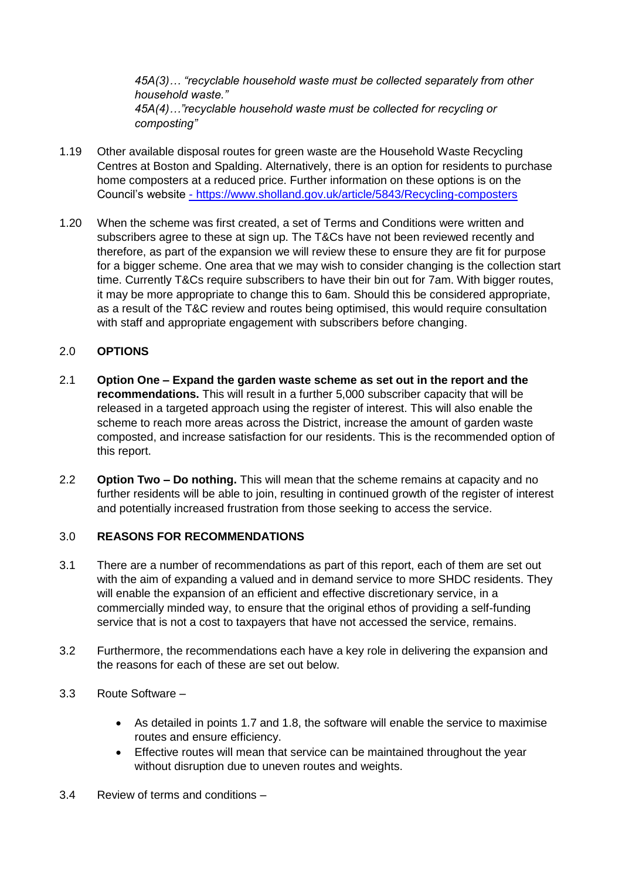*45A(3)… "recyclable household waste must be collected separately from other household waste." 45A(4)…"recyclable household waste must be collected for recycling or composting"*

- 1.19 Other available disposal routes for green waste are the Household Waste Recycling Centres at Boston and Spalding. Alternatively, there is an option for residents to purchase home composters at a reduced price. Further information on these options is on the Council's website - <https://www.sholland.gov.uk/article/5843/Recycling-composters>
- 1.20 When the scheme was first created, a set of Terms and Conditions were written and subscribers agree to these at sign up. The T&Cs have not been reviewed recently and therefore, as part of the expansion we will review these to ensure they are fit for purpose for a bigger scheme. One area that we may wish to consider changing is the collection start time. Currently T&Cs require subscribers to have their bin out for 7am. With bigger routes, it may be more appropriate to change this to 6am. Should this be considered appropriate, as a result of the T&C review and routes being optimised, this would require consultation with staff and appropriate engagement with subscribers before changing.

# 2.0 **OPTIONS**

- 2.1 **Option One – Expand the garden waste scheme as set out in the report and the recommendations.** This will result in a further 5,000 subscriber capacity that will be released in a targeted approach using the register of interest. This will also enable the scheme to reach more areas across the District, increase the amount of garden waste composted, and increase satisfaction for our residents. This is the recommended option of this report.
- 2.2 **Option Two – Do nothing.** This will mean that the scheme remains at capacity and no further residents will be able to join, resulting in continued growth of the register of interest and potentially increased frustration from those seeking to access the service.

#### 3.0 **REASONS FOR RECOMMENDATIONS**

- 3.1 There are a number of recommendations as part of this report, each of them are set out with the aim of expanding a valued and in demand service to more SHDC residents. They will enable the expansion of an efficient and effective discretionary service, in a commercially minded way, to ensure that the original ethos of providing a self-funding service that is not a cost to taxpayers that have not accessed the service, remains.
- 3.2 Furthermore, the recommendations each have a key role in delivering the expansion and the reasons for each of these are set out below.
- 3.3 Route Software
	- As detailed in points 1.7 and 1.8, the software will enable the service to maximise routes and ensure efficiency.
	- Effective routes will mean that service can be maintained throughout the year without disruption due to uneven routes and weights.
- 3.4 Review of terms and conditions –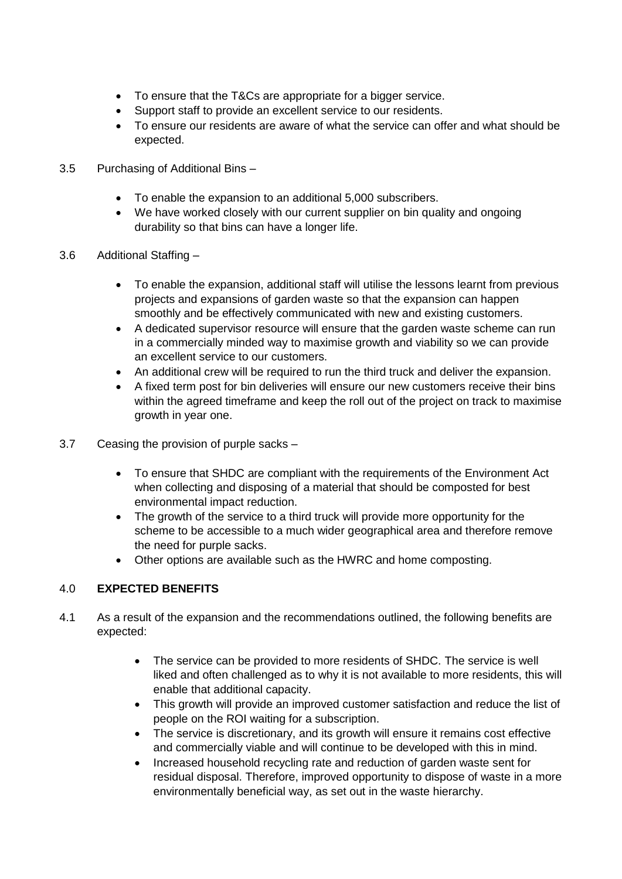- To ensure that the T&Cs are appropriate for a bigger service.
- Support staff to provide an excellent service to our residents.
- To ensure our residents are aware of what the service can offer and what should be expected.
- 3.5 Purchasing of Additional Bins
	- To enable the expansion to an additional 5,000 subscribers.
	- We have worked closely with our current supplier on bin quality and ongoing durability so that bins can have a longer life.
- 3.6 Additional Staffing
	- To enable the expansion, additional staff will utilise the lessons learnt from previous projects and expansions of garden waste so that the expansion can happen smoothly and be effectively communicated with new and existing customers.
	- A dedicated supervisor resource will ensure that the garden waste scheme can run in a commercially minded way to maximise growth and viability so we can provide an excellent service to our customers.
	- An additional crew will be required to run the third truck and deliver the expansion.
	- A fixed term post for bin deliveries will ensure our new customers receive their bins within the agreed timeframe and keep the roll out of the project on track to maximise growth in year one.
- 3.7 Ceasing the provision of purple sacks
	- To ensure that SHDC are compliant with the requirements of the Environment Act when collecting and disposing of a material that should be composted for best environmental impact reduction.
	- The growth of the service to a third truck will provide more opportunity for the scheme to be accessible to a much wider geographical area and therefore remove the need for purple sacks.
	- Other options are available such as the HWRC and home composting.

# 4.0 **EXPECTED BENEFITS**

- 4.1 As a result of the expansion and the recommendations outlined, the following benefits are expected:
	- The service can be provided to more residents of SHDC. The service is well liked and often challenged as to why it is not available to more residents, this will enable that additional capacity.
	- This growth will provide an improved customer satisfaction and reduce the list of people on the ROI waiting for a subscription.
	- The service is discretionary, and its growth will ensure it remains cost effective and commercially viable and will continue to be developed with this in mind.
	- Increased household recycling rate and reduction of garden waste sent for residual disposal. Therefore, improved opportunity to dispose of waste in a more environmentally beneficial way, as set out in the waste hierarchy.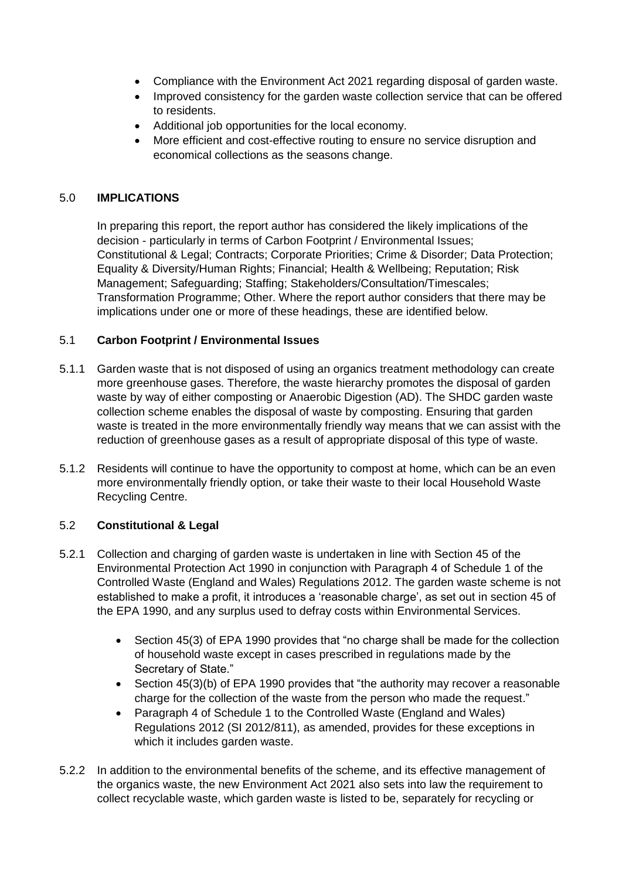- Compliance with the Environment Act 2021 regarding disposal of garden waste.
- Improved consistency for the garden waste collection service that can be offered to residents.
- Additional job opportunities for the local economy.
- More efficient and cost-effective routing to ensure no service disruption and economical collections as the seasons change.

### 5.0 **IMPLICATIONS**

In preparing this report, the report author has considered the likely implications of the decision - particularly in terms of Carbon Footprint / Environmental Issues; Constitutional & Legal; Contracts; Corporate Priorities; Crime & Disorder; Data Protection; Equality & Diversity/Human Rights; Financial; Health & Wellbeing; Reputation; Risk Management; Safeguarding; Staffing; Stakeholders/Consultation/Timescales; Transformation Programme; Other. Where the report author considers that there may be implications under one or more of these headings, these are identified below.

#### 5.1 **Carbon Footprint / Environmental Issues**

- 5.1.1 Garden waste that is not disposed of using an organics treatment methodology can create more greenhouse gases. Therefore, the waste hierarchy promotes the disposal of garden waste by way of either composting or Anaerobic Digestion (AD). The SHDC garden waste collection scheme enables the disposal of waste by composting. Ensuring that garden waste is treated in the more environmentally friendly way means that we can assist with the reduction of greenhouse gases as a result of appropriate disposal of this type of waste.
- 5.1.2 Residents will continue to have the opportunity to compost at home, which can be an even more environmentally friendly option, or take their waste to their local Household Waste Recycling Centre.

# 5.2 **Constitutional & Legal**

- 5.2.1 Collection and charging of garden waste is undertaken in line with Section 45 of the Environmental Protection Act 1990 in conjunction with Paragraph 4 of Schedule 1 of the Controlled Waste (England and Wales) Regulations 2012. The garden waste scheme is not established to make a profit, it introduces a 'reasonable charge', as set out in section 45 of the EPA 1990, and any surplus used to defray costs within Environmental Services.
	- Section 45(3) of EPA 1990 provides that "no charge shall be made for the collection of household waste except in cases prescribed in regulations made by the Secretary of State."
	- Section 45(3)(b) of EPA 1990 provides that "the authority may recover a reasonable charge for the collection of the waste from the person who made the request."
	- Paragraph 4 of Schedule 1 to the Controlled Waste (England and Wales) Regulations 2012 (SI 2012/811), as amended, provides for these exceptions in which it includes garden waste.
- 5.2.2 In addition to the environmental benefits of the scheme, and its effective management of the organics waste, the new Environment Act 2021 also sets into law the requirement to collect recyclable waste, which garden waste is listed to be, separately for recycling or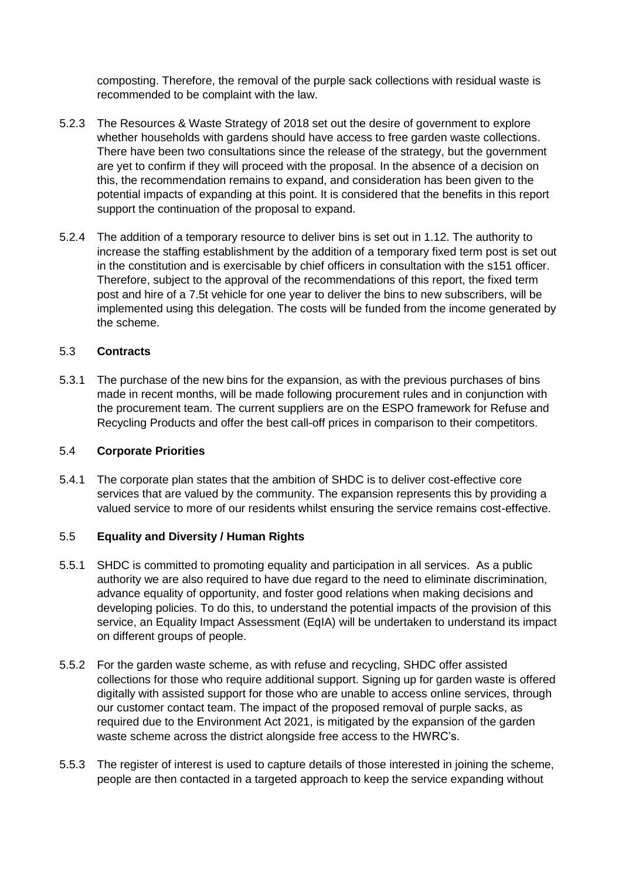composting. Therefore, the removal of the purple sack collections with residual waste is recommended to be complaint with the law.

- 5.2.3 The Resources & Waste Strategy of 2018 set out the desire of government to explore whether households with gardens should have access to free garden waste collections. There have been two consultations since the release of the strategy, but the government are yet to confirm if they will proceed with the proposal. In the absence of a decision on this, the recommendation remains to expand, and consideration has been given to the potential impacts of expanding at this point. It is considered that the benefits in this report support the continuation of the proposal to expand.
- 5.2.4 The addition of a temporary resource to deliver bins is set out in 1.12. The authority to increase the staffing establishment by the addition of a temporary fixed term post is set out in the constitution and is exercisable by chief officers in consultation with the s151 officer. Therefore, subject to the approval of the recommendations of this report, the fixed term post and hire of a 7.5t vehicle for one year to deliver the bins to new subscribers, will be implemented using this delegation. The costs will be funded from the income generated by the scheme.

#### 5.3 **Contracts**

5.3.1 The purchase of the new bins for the expansion, as with the previous purchases of bins made in recent months, will be made following procurement rules and in conjunction with the procurement team. The current suppliers are on the ESPO framework for Refuse and Recycling Products and offer the best call-off prices in comparison to their competitors.

#### 5.4 **Corporate Priorities**

5.4.1 The corporate plan states that the ambition of SHDC is to deliver cost-effective core services that are valued by the community. The expansion represents this by providing a valued service to more of our residents whilst ensuring the service remains cost-effective.

#### 5.5 **Equality and Diversity / Human Rights**

- 5.5.1 SHDC is committed to promoting equality and participation in all services. As a public authority we are also required to have due regard to the need to eliminate discrimination, advance equality of opportunity, and foster good relations when making decisions and developing policies. To do this, to understand the potential impacts of the provision of this service, an Equality Impact Assessment (EqIA) will be undertaken to understand its impact on different groups of people.
- 5.5.2 For the garden waste scheme, as with refuse and recycling, SHDC offer assisted collections for those who require additional support. Signing up for garden waste is offered digitally with assisted support for those who are unable to access online services, through our customer contact team. The impact of the proposed removal of purple sacks, as required due to the Environment Act 2021, is mitigated by the expansion of the garden waste scheme across the district alongside free access to the HWRC's.
- 5.5.3 The register of interest is used to capture details of those interested in joining the scheme, people are then contacted in a targeted approach to keep the service expanding without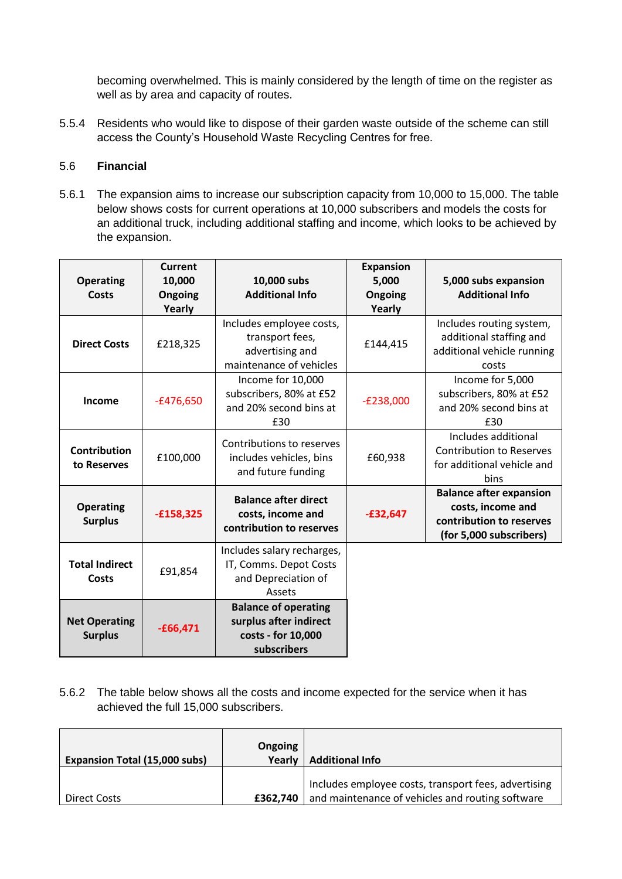becoming overwhelmed. This is mainly considered by the length of time on the register as well as by area and capacity of routes.

5.5.4 Residents who would like to dispose of their garden waste outside of the scheme can still access the County's Household Waste Recycling Centres for free.

# 5.6 **Financial**

5.6.1 The expansion aims to increase our subscription capacity from 10,000 to 15,000. The table below shows costs for current operations at 10,000 subscribers and models the costs for an additional truck, including additional staffing and income, which looks to be achieved by the expansion.

| <b>Operating</b><br>Costs              | Current<br>10,000<br>Ongoing<br>Yearly | 10,000 subs<br><b>Additional Info</b>                                                      | <b>Expansion</b><br>5,000<br>Ongoing<br>Yearly | 5,000 subs expansion<br><b>Additional Info</b>                                                             |
|----------------------------------------|----------------------------------------|--------------------------------------------------------------------------------------------|------------------------------------------------|------------------------------------------------------------------------------------------------------------|
| <b>Direct Costs</b>                    | £218,325                               | Includes employee costs,<br>transport fees,<br>advertising and<br>maintenance of vehicles  | £144,415                                       | Includes routing system,<br>additional staffing and<br>additional vehicle running<br>costs                 |
| Income                                 | $-£476,650$                            | Income for 10,000<br>subscribers, 80% at £52<br>and 20% second bins at<br>£30              | $-E238,000$                                    | Income for 5,000<br>subscribers, 80% at £52<br>and 20% second bins at<br>£30                               |
| <b>Contribution</b><br>to Reserves     | £100,000                               | Contributions to reserves<br>includes vehicles, bins<br>and future funding                 | £60,938                                        | Includes additional<br><b>Contribution to Reserves</b><br>for additional vehicle and<br>bins               |
| <b>Operating</b><br><b>Surplus</b>     | $-£158,325$                            | <b>Balance after direct</b><br>costs, income and<br>contribution to reserves               | $-£32,647$                                     | <b>Balance after expansion</b><br>costs, income and<br>contribution to reserves<br>(for 5,000 subscribers) |
| <b>Total Indirect</b><br><b>Costs</b>  | £91,854                                | Includes salary recharges,<br>IT, Comms. Depot Costs<br>and Depreciation of<br>Assets      |                                                |                                                                                                            |
| <b>Net Operating</b><br><b>Surplus</b> | $-£66,471$                             | <b>Balance of operating</b><br>surplus after indirect<br>costs - for 10,000<br>subscribers |                                                |                                                                                                            |

5.6.2 The table below shows all the costs and income expected for the service when it has achieved the full 15,000 subscribers.

| <b>Expansion Total (15,000 subs)</b> | Ongoing<br>Yearly | <b>Additional Info</b>                                                                                   |
|--------------------------------------|-------------------|----------------------------------------------------------------------------------------------------------|
| Direct Costs                         | £362,740          | Includes employee costs, transport fees, advertising<br>and maintenance of vehicles and routing software |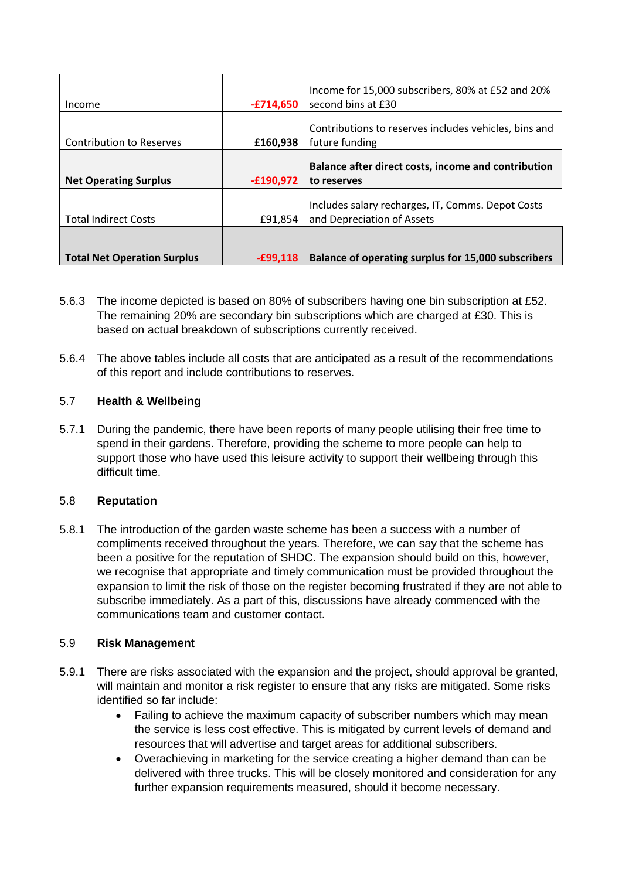|                                 |             | Income for 15,000 subscribers, 80% at £52 and 20%     |
|---------------------------------|-------------|-------------------------------------------------------|
| Income                          | -£714.650   | second bins at £30                                    |
|                                 |             | Contributions to reserves includes vehicles, bins and |
| <b>Contribution to Reserves</b> | £160,938    | future funding                                        |
|                                 |             |                                                       |
|                                 |             | Balance after direct costs, income and contribution   |
|                                 |             |                                                       |
| <b>Net Operating Surplus</b>    | $-£190,972$ | to reserves                                           |
|                                 |             |                                                       |
|                                 |             | Includes salary recharges, IT, Comms. Depot Costs     |
| <b>Total Indirect Costs</b>     | £91,854     | and Depreciation of Assets                            |
|                                 |             |                                                       |
|                                 |             |                                                       |

- 5.6.3 The income depicted is based on 80% of subscribers having one bin subscription at £52. The remaining 20% are secondary bin subscriptions which are charged at £30. This is based on actual breakdown of subscriptions currently received.
- 5.6.4 The above tables include all costs that are anticipated as a result of the recommendations of this report and include contributions to reserves.

# 5.7 **Health & Wellbeing**

5.7.1 During the pandemic, there have been reports of many people utilising their free time to spend in their gardens. Therefore, providing the scheme to more people can help to support those who have used this leisure activity to support their wellbeing through this difficult time.

#### 5.8 **Reputation**

5.8.1 The introduction of the garden waste scheme has been a success with a number of compliments received throughout the years. Therefore, we can say that the scheme has been a positive for the reputation of SHDC. The expansion should build on this, however, we recognise that appropriate and timely communication must be provided throughout the expansion to limit the risk of those on the register becoming frustrated if they are not able to subscribe immediately. As a part of this, discussions have already commenced with the communications team and customer contact.

#### 5.9 **Risk Management**

- 5.9.1 There are risks associated with the expansion and the project, should approval be granted, will maintain and monitor a risk register to ensure that any risks are mitigated. Some risks identified so far include:
	- Failing to achieve the maximum capacity of subscriber numbers which may mean the service is less cost effective. This is mitigated by current levels of demand and resources that will advertise and target areas for additional subscribers.
	- Overachieving in marketing for the service creating a higher demand than can be delivered with three trucks. This will be closely monitored and consideration for any further expansion requirements measured, should it become necessary.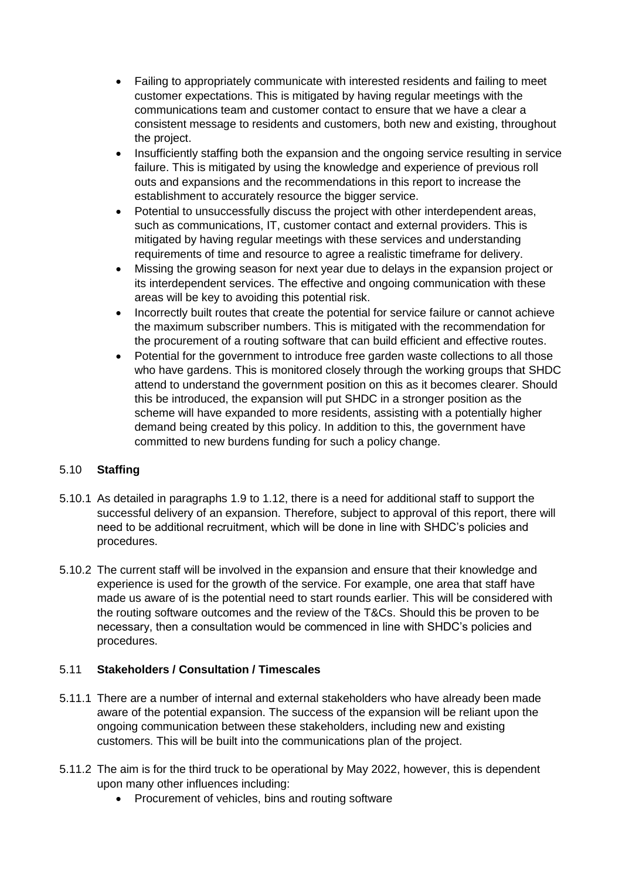- Failing to appropriately communicate with interested residents and failing to meet customer expectations. This is mitigated by having regular meetings with the communications team and customer contact to ensure that we have a clear a consistent message to residents and customers, both new and existing, throughout the project.
- Insufficiently staffing both the expansion and the ongoing service resulting in service failure. This is mitigated by using the knowledge and experience of previous roll outs and expansions and the recommendations in this report to increase the establishment to accurately resource the bigger service.
- Potential to unsuccessfully discuss the project with other interdependent areas, such as communications, IT, customer contact and external providers. This is mitigated by having regular meetings with these services and understanding requirements of time and resource to agree a realistic timeframe for delivery.
- Missing the growing season for next year due to delays in the expansion project or its interdependent services. The effective and ongoing communication with these areas will be key to avoiding this potential risk.
- Incorrectly built routes that create the potential for service failure or cannot achieve the maximum subscriber numbers. This is mitigated with the recommendation for the procurement of a routing software that can build efficient and effective routes.
- Potential for the government to introduce free garden waste collections to all those who have gardens. This is monitored closely through the working groups that SHDC attend to understand the government position on this as it becomes clearer. Should this be introduced, the expansion will put SHDC in a stronger position as the scheme will have expanded to more residents, assisting with a potentially higher demand being created by this policy. In addition to this, the government have committed to new burdens funding for such a policy change.

# 5.10 **Staffing**

- 5.10.1 As detailed in paragraphs 1.9 to 1.12, there is a need for additional staff to support the successful delivery of an expansion. Therefore, subject to approval of this report, there will need to be additional recruitment, which will be done in line with SHDC's policies and procedures.
- 5.10.2 The current staff will be involved in the expansion and ensure that their knowledge and experience is used for the growth of the service. For example, one area that staff have made us aware of is the potential need to start rounds earlier. This will be considered with the routing software outcomes and the review of the T&Cs. Should this be proven to be necessary, then a consultation would be commenced in line with SHDC's policies and procedures.

# 5.11 **Stakeholders / Consultation / Timescales**

- 5.11.1 There are a number of internal and external stakeholders who have already been made aware of the potential expansion. The success of the expansion will be reliant upon the ongoing communication between these stakeholders, including new and existing customers. This will be built into the communications plan of the project.
- 5.11.2 The aim is for the third truck to be operational by May 2022, however, this is dependent upon many other influences including:
	- Procurement of vehicles, bins and routing software